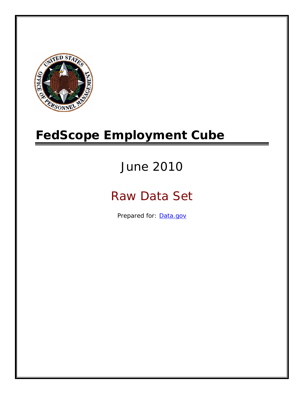

# **FedScope Employment Cube**

# June 2010

# Raw Data Set

Prepared for: [Data.gov](http://www.data.gov/)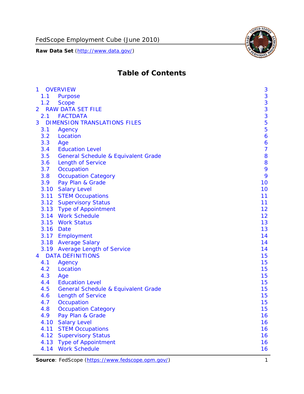

# **Table of Contents**

| $\mathbf{1}$   |           | <b>OVERVIEW</b>                                | 3              |
|----------------|-----------|------------------------------------------------|----------------|
|                | 1.1       | Purpose                                        | 3              |
|                | 1.2       | <b>Scope</b>                                   | 3              |
| $\overline{2}$ |           | <b>RAW DATA SET FILE</b>                       | 3              |
|                |           | 2.1 FACTDATA                                   | 3              |
| 3              |           | <b>DIMENSION TRANSLATIONS FILES</b>            | 5              |
|                | 3.1       | Agency                                         | 5              |
|                | 3.2       | Location                                       | 6              |
|                | 3.3       | Age                                            | 6              |
|                | 3.4       | <b>Education Level</b>                         | $\overline{7}$ |
|                | 3.5       | <b>General Schedule &amp; Equivalent Grade</b> | 8              |
|                | 3.6       | <b>Length of Service</b>                       | 8              |
|                | 3.7       | Occupation                                     | 9              |
|                | 3.8       | <b>Occupation Category</b>                     | 9              |
|                | 3.9       | Pay Plan & Grade                               | 10             |
|                | 3.10      | <b>Salary Level</b>                            | 10             |
|                | 3.11      | <b>STEM Occupations</b>                        | 11             |
|                |           | 3.12 Supervisory Status                        | 11             |
|                |           | 3.13 Type of Appointment                       | 12             |
|                |           | 3.14 Work Schedule                             | 12             |
|                | 3.15      | <b>Work Status</b>                             | 13             |
|                | 3.16 Date |                                                | 13             |
|                |           | 3.17 Employment                                | 14             |
|                |           | 3.18 Average Salary                            | 14             |
|                |           | 3.19 Average Length of Service                 | 14             |
| $\overline{4}$ |           | <b>DATA DEFINITIONS</b>                        | 15             |
|                | 4.1       | Agency                                         | 15             |
|                | 4.2       | Location                                       | 15             |
|                | 4.3       | Age                                            | 15             |
|                | 4.4       | <b>Education Level</b>                         | 15             |
|                | 4.5       | <b>General Schedule &amp; Equivalent Grade</b> | 15             |
|                | 4.6       | <b>Length of Service</b>                       | 15             |
|                | 4.7       | Occupation                                     | 15             |
|                | 4.8       | <b>Occupation Category</b>                     | 15             |
|                | 4.9       | Pay Plan & Grade                               | 16             |
|                | 4.10      | <b>Salary Level</b>                            | 16             |
|                | 4.11      | <b>STEM Occupations</b>                        | 16             |
|                | 4.12      | <b>Supervisory Status</b>                      | 16             |
|                | 4.13      | <b>Type of Appointment</b>                     | 16             |
|                | 4.14      | <b>Work Schedule</b>                           | 16             |

**Source**: FedScope (https://www.fedscope.opm.gov/) 1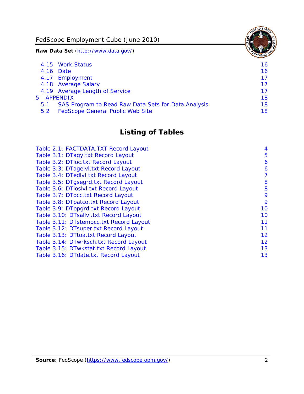FedScope Employment Cube (June 2010)

**Raw Data Set** (http://www.data.gov/)

|     | 4.15 Work Status                                    | 16 |
|-----|-----------------------------------------------------|----|
|     | 4.16 Date                                           | 16 |
|     | 4.17 Employment                                     | 17 |
|     | 4.18 Average Salary                                 | 17 |
|     | 4.19 Average Length of Service                      | 17 |
|     | 5 APPENDIX                                          | 18 |
| 5.1 | SAS Program to Read Raw Data Sets for Data Analysis | 18 |
| 5.2 | <b>FedScope General Public Web Site</b>             | 18 |

# **Listing of Tables**

| Table 2.1: FACTDATA.TXT Record Layout   | 4  |
|-----------------------------------------|----|
| Table 3.1: DTagy.txt Record Layout      | 5  |
| Table 3.2: DTloc.txt Record Layout      | 6  |
| Table 3.3: DTagelvl.txt Record Layout   | 6  |
| Table 3.4: DTedlvl.txt Record Layout    | 7  |
| Table 3.5: DTgsegrd.txt Record Layout   | 8  |
| Table 3.6: DTIoslyl.txt Record Layout   | 8  |
| Table 3.7: DTocc.txt Record Layout      | 9  |
| Table 3.8: DTpatco.txt Record Layout    | 9  |
| Table 3.9: DTppgrd.txt Record Layout    | 10 |
| Table 3.10: DTsallvl.txt Record Layout  | 10 |
| Table 3.11: DTstemocc.txt Record Layout | 11 |
| Table 3.12: DTsuper.txt Record Layout   | 11 |
| Table 3.13: DTtoa.txt Record Layout     | 12 |
| Table 3.14: DTwrksch.txt Record Layout  | 12 |
| Table 3.15: DTwkstat.txt Record Layout  | 13 |
| Table 3.16: DTdate.txt Record Layout    | 13 |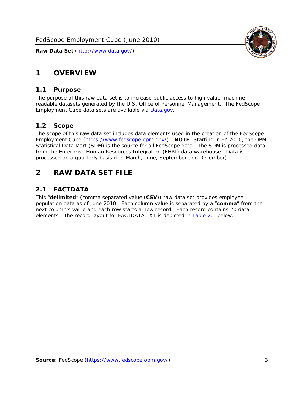

# <span id="page-3-0"></span>**1 OVERVIEW**

#### *1.1 Purpose*

<span id="page-3-1"></span>The purpose of this raw data set is to increase public access to high value, machine readable datasets generated by the U.S. Office of Personnel Management. The FedScope Employment Cube data sets are available via [Data.gov](http://www.data.gov/).

#### <span id="page-3-2"></span>*1.2 Scope*

The scope of this raw data set includes data elements used in the creation of the FedScope Employment Cube [\(https://www.fedscope.opm.gov/\)](https://www.fedscope.opm.gov/). **NOTE**: Starting in FY 2010, the OPM Statistical Data Mart (SDM) is the source for all FedScope data. The SDM is processed data from the Enterprise Human Resources Integration (EHRI) data warehouse. Data is processed on a quarterly basis (i.e. March, June, September and December).

# <span id="page-3-3"></span>**2 RAW DATA SET FILE**

# <span id="page-3-4"></span>*2.1 FACTDATA*

This "**delimited**" (comma separated value (**CSV**)) raw data set provides employee population data as of June 2010. Each column value is separated by a "**comma**" from the next column's value and each row starts a new record. Each record contains 20 data elements. The record layout for FACTDATA.TXT is depicted in [Table 2.1](#page-4-1) below: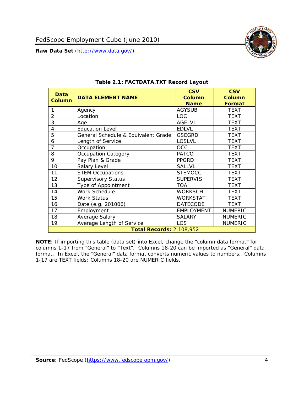<span id="page-4-1"></span><span id="page-4-0"></span>

**NOTE**: If importing this table (data set) into Excel, change the "column data format" for columns 1-17 from "General" to "Text". Columns 18-20 can be imported as "General" data format. In Excel, the "General" data format converts numeric values to numbers. Columns 1-17 are TEXT fields; Columns 18-20 are NUMERIC fields.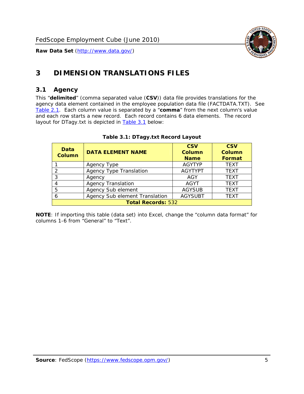

# <span id="page-5-0"></span>**3 DIMENSION TRANSLATIONS FILES**

#### <span id="page-5-1"></span>*3.1 Agency*

<span id="page-5-3"></span><span id="page-5-2"></span>This "**delimited**" (comma separated value (**CSV**)) data file provides translations for the agency data element contained in the employee population data file (FACTDATA.TXT). See [Table 2.1.](#page-4-1) Each column value is separated by a "**comma**" from the next column's value and each row starts a new record. Each record contains 6 data elements. The record layout for DTagy.txt is depicted in **Table 3.1** below:

| Data<br><b>Column</b>     | <b>DATA ELEMENT NAME</b>       | <b>CSV</b><br><b>Column</b><br><b>Name</b> | <b>CSV</b><br>Column<br><b>Format</b> |
|---------------------------|--------------------------------|--------------------------------------------|---------------------------------------|
|                           | Agency Type                    | <b>AGYTYP</b>                              | <b>TEXT</b>                           |
| 2                         | <b>Agency Type Translation</b> | <b>AGYTYPT</b>                             | <b>TEXT</b>                           |
| 3                         | Agency                         | AGY                                        | <b>TEXT</b>                           |
|                           | <b>Agency Translation</b>      | <b>AGYT</b>                                | <b>TEXT</b>                           |
| -5                        | Agency Sub element             | <b>AGYSUB</b>                              | <b>TEXT</b>                           |
|                           | Agency Sub element Translation | <b>AGYSUBT</b>                             | <b>TEXT</b>                           |
| <b>Total Records: 532</b> |                                |                                            |                                       |

#### **Table 3.1: DTagy.txt Record Layout**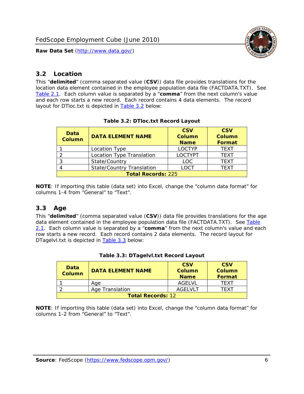

#### <span id="page-6-0"></span>*3.2 Location*

<span id="page-6-4"></span><span id="page-6-2"></span>This "**delimited**" (comma separated value (**CSV**)) data file provides translations for the location data element contained in the employee population data file (FACTDATA.TXT). See [Table 2.1.](#page-4-1) Each column value is separated by a "**comma**" from the next column's value and each row starts a new record. Each record contains 4 data elements. The record layout for DTloc.txt is depicted in [Table 3.2](#page-6-4) below:

| Data<br><b>Column</b>     | <b>DATA ELEMENT NAME</b>         | <b>CSV</b><br>Column<br><b>Name</b> | <b>CSV</b><br><b>Column</b><br><b>Format</b> |
|---------------------------|----------------------------------|-------------------------------------|----------------------------------------------|
|                           | Location Type                    | <b>LOCTYP</b>                       | <b>TEXT</b>                                  |
|                           | Location Type Translation        | <b>LOCTYPT</b>                      | <b>TEXT</b>                                  |
| ົ                         | State/Country                    | <b>LOC</b>                          | <b>TFXT</b>                                  |
|                           | <b>State/Country Translation</b> | LOCT                                | <b>TFXT</b>                                  |
| <b>Total Records: 225</b> |                                  |                                     |                                              |

#### **Table 3.2: DTloc.txt Record Layout**

**NOTE**: If importing this table (data set) into Excel, change the "column data format" for columns 1-4 from "General" to "Text".

#### <span id="page-6-1"></span>*3.3 Age*

<span id="page-6-5"></span><span id="page-6-3"></span>This "**delimited**" (comma separated value (**CSV**)) data file provides translations for the age data element contained in the employee population data file (FACTDATA.TXT). See [Table](#page-4-1) [2.1](#page-4-1). Each column value is separated by a "**comma**" from the next column's value and each row starts a new record. Each record contains 2 data elements. The record layout for DTagelvl.txt is depicted in **[Table 3.3](#page-6-5)** below:

| Data<br><b>Column</b>    | <b>DATA ELEMENT NAME</b> | <b>CSV</b><br>Column<br><b>Name</b> | <b>CSV</b><br>Column<br><b>Format</b> |
|--------------------------|--------------------------|-------------------------------------|---------------------------------------|
|                          | Aae                      | AGFI VI                             | TFXT                                  |
|                          | Age Translation          | AGFI VI T                           | TFXT                                  |
| <b>Total Records: 12</b> |                          |                                     |                                       |

#### **Table 3.3: DTagelvl.txt Record Layout**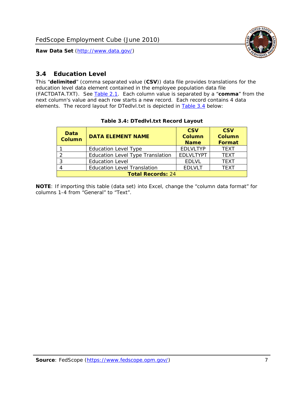

### <span id="page-7-0"></span>*3.4 Education Level*

<span id="page-7-2"></span><span id="page-7-1"></span>This "**delimited**" (comma separated value (**CSV**)) data file provides translations for the education level data element contained in the employee population data file (FACTDATA.TXT). See [Table 2.1](#page-4-1). Each column value is separated by a "**comma**" from the next column's value and each row starts a new record. Each record contains 4 data elements. The record layout for DTedlvl.txt is depicted in [Table 3.4](#page-7-2) below:

| Data<br><b>Column</b>    | <b>DATA ELEMENT NAME</b>                | <b>CSV</b><br><b>Column</b><br><b>Name</b> | <b>CSV</b><br><b>Column</b><br><b>Format</b> |  |
|--------------------------|-----------------------------------------|--------------------------------------------|----------------------------------------------|--|
|                          | <b>Education Level Type</b>             | <b>EDLVLTYP</b>                            | <b>TEXT</b>                                  |  |
|                          | <b>Education Level Type Translation</b> | <b>EDLVLTYPT</b>                           | <b>TEXT</b>                                  |  |
|                          | <b>Education Level</b>                  | <b>EDLVL</b>                               | <b>TEXT</b>                                  |  |
|                          | <b>Education Level Translation</b>      | <b>EDLVLT</b>                              | <b>TEXT</b>                                  |  |
| <b>Total Records: 24</b> |                                         |                                            |                                              |  |

#### **Table 3.4: DTedlvl.txt Record Layout**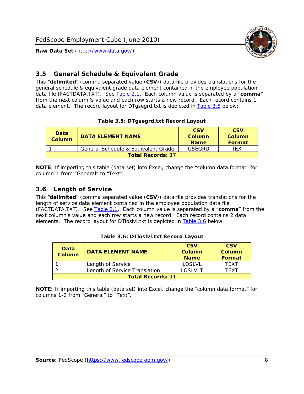

#### <span id="page-8-0"></span>*3.5 General Schedule & Equivalent Grade*

This "**delimited**" (comma separated value (**CSV**)) data file provides translations for the general schedule & equivalent grade data element contained in the employee population data file (FACTDATA.TXT). See [Table 2.1](#page-4-1). Each column value is separated by a "**comma**" from the next column's value and each row starts a new record. Each record contains 1 data element. The record layout for DTgsegrd.txt is depicted in [Table 3.5](#page-8-4) below:

#### **Table 3.5: DTgsegrd.txt Record Layout**

<span id="page-8-4"></span><span id="page-8-2"></span>

| Data<br>Column           | DATA FI FMFNT NAMF                  | <b>CSV</b><br>Column<br><b>Name</b> | <b>CSV</b><br>Column<br><b>Format</b> |  |
|--------------------------|-------------------------------------|-------------------------------------|---------------------------------------|--|
|                          | General Schedule & Equivalent Grade | GSFGRD                              | TFXT                                  |  |
| <b>Total Records: 17</b> |                                     |                                     |                                       |  |

**NOTE**: If importing this table (data set) into Excel, change the "column data format" for column 1-from "General" to "Text".

#### <span id="page-8-1"></span>*3.6 Length of Service*

<span id="page-8-5"></span>This "**delimited**" (comma separated value (**CSV**)) data file provides translations for the length of service data element contained in the employee population data file (FACTDATA.TXT). See [Table 2.1](#page-4-1). Each column value is separated by a "**comma**" from the next column's value and each row starts a new record. Each record contains 2 data elements. The record layout for DTloslvl.txt is depicted in [Table 3.6](#page-8-5) below:

<span id="page-8-3"></span>

| Data<br><b>Column</b>    | <b>DATA ELEMENT NAME</b>      | <b>CSV</b><br><b>Column</b><br><b>Name</b> | <b>CSV</b><br>Column<br>Format |
|--------------------------|-------------------------------|--------------------------------------------|--------------------------------|
|                          | Length of Service             | LOSLVL                                     | TFXT                           |
|                          | Length of Service Translation | LOSI VLT                                   | TFXT                           |
| <b>Total Records: 11</b> |                               |                                            |                                |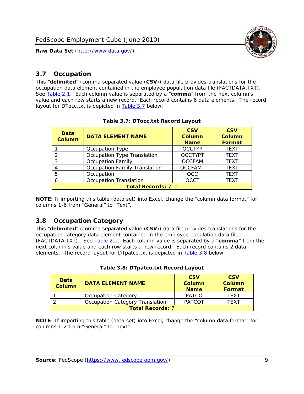

#### <span id="page-9-0"></span>*3.7 Occupation*

<span id="page-9-4"></span>This "**delimited**" (comma separated value (**CSV**)) data file provides translations for the occupation data element contained in the employee population data file (FACTDATA.TXT). See [Table 2.1](#page-4-1). Each column value is separated by a "**comma**" from the next column's value and each row starts a new record. Each record contains 6 data elements. The record layout for DTocc.txt is depicted in [Table 3.7](#page-9-4) below:

<span id="page-9-2"></span>

| Data<br><b>Column</b>     | <b>DATA ELEMENT NAME</b>             | <b>CSV</b><br>Column<br><b>Name</b> | <b>CSV</b><br><b>Column</b><br><b>Format</b> |
|---------------------------|--------------------------------------|-------------------------------------|----------------------------------------------|
|                           | Occupation Type                      | <b>OCCTYP</b>                       | <b>TEXT</b>                                  |
|                           | Occupation Type Translation          | <b>OCCTYPT</b>                      | <b>TEXT</b>                                  |
| 3                         | <b>Occupation Family</b>             | <b>OCCFAM</b>                       | <b>TEXT</b>                                  |
|                           | <b>Occupation Family Translation</b> | <b>OCCFAMT</b>                      | <b>TEXT</b>                                  |
| 5                         | Occupation                           | <b>OCC</b>                          | <b>TEXT</b>                                  |
|                           | <b>Occupation Translation</b>        | <b>OCCT</b>                         | <b>TEXT</b>                                  |
| <b>Total Records: 710</b> |                                      |                                     |                                              |

#### **Table 3.7: DTocc.txt Record Layout**

**NOTE**: If importing this table (data set) into Excel, change the "column data format" for columns 1-6 from "General" to "Text".

#### <span id="page-9-1"></span>*3.8 Occupation Category*

<span id="page-9-5"></span>This "**delimited**" (comma separated value (**CSV**)) data file provides translations for the occupation category data element contained in the employee population data file (FACTDATA.TXT). See [Table 2.1](#page-4-1). Each column value is separated by a "**comma**" from the next column's value and each row starts a new record. Each record contains 2 data elements. The record layout for DTpatco.txt is depicted in [Table 3.8](#page-9-5) below:

<span id="page-9-3"></span>

| Data<br><b>Column</b>   | <b>DATA ELEMENT NAME</b>        | <b>CSV</b><br>Column<br><b>Name</b> | <b>CSV</b><br>Column<br>Format |  |
|-------------------------|---------------------------------|-------------------------------------|--------------------------------|--|
|                         | <b>Occupation Category</b>      | <b>PATCO</b>                        | <b>TFXT</b>                    |  |
|                         | Occupation Category Translation | <b>PATCOT</b>                       | TFXT                           |  |
| <b>Total Records: 7</b> |                                 |                                     |                                |  |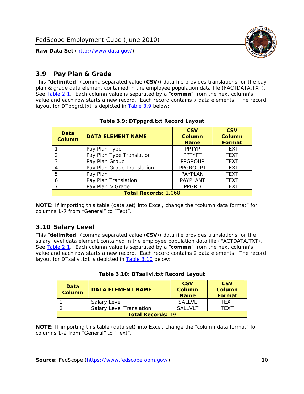

### <span id="page-10-0"></span>*3.9 Pay Plan & Grade*

<span id="page-10-4"></span>This "**delimited**" (comma separated value (**CSV**)) data file provides translations for the pay plan & grade data element contained in the employee population data file (FACTDATA.TXT). See [Table 2.1](#page-4-1). Each column value is separated by a "**comma**" from the next column's value and each row starts a new record. Each record contains 7 data elements. The record layout for DTppgrd.txt is depicted in **Table 3.9** below:

<span id="page-10-2"></span>

| Data<br><b>Column</b>       | <b>DATA ELEMENT NAME</b>   | <b>CSV</b><br>Column<br><b>Name</b> | <b>CSV</b><br>Column<br><b>Format</b> |  |
|-----------------------------|----------------------------|-------------------------------------|---------------------------------------|--|
|                             | Pay Plan Type              | <b>PPTYP</b>                        | <b>TEXT</b>                           |  |
| $\mathcal{P}$               | Pay Plan Type Translation  | <b>PPTYPT</b>                       | <b>TEXT</b>                           |  |
| 3                           | Pay Plan Group             | <b>PPGROUP</b>                      | <b>TEXT</b>                           |  |
|                             | Pay Plan Group Translation | <b>PPGROUPT</b>                     | <b>TEXT</b>                           |  |
| 5                           | Pay Plan                   | <b>PAYPLAN</b>                      | <b>TEXT</b>                           |  |
| 6                           | Pay Plan Translation       | PAYPLANT                            | <b>TEXT</b>                           |  |
|                             | Pay Plan & Grade           | <b>PPGRD</b>                        | <b>TEXT</b>                           |  |
| <b>Total Records: 1,068</b> |                            |                                     |                                       |  |

#### **Table 3.9: DTppgrd.txt Record Layout**

**NOTE**: If importing this table (data set) into Excel, change the "column data format" for columns 1-7 from "General" to "Text".

# <span id="page-10-1"></span>*3.10 Salary Level*

<span id="page-10-5"></span><span id="page-10-3"></span>This "**delimited**" (comma separated value (**CSV**)) data file provides translations for the salary level data element contained in the employee population data file (FACTDATA.TXT). See [Table 2.1](#page-4-1). Each column value is separated by a "**comma**" from the next column's value and each row starts a new record. Each record contains 2 data elements. The record layout for DTsallvl.txt is depicted in [Table 3.10](#page-10-5) below:

| Data<br><b>Column</b>    | <b>DATA ELEMENT NAME</b>        | <b>CSV</b><br>Column<br><b>Name</b> | <b>CSV</b><br>Column<br>Format |
|--------------------------|---------------------------------|-------------------------------------|--------------------------------|
|                          | Salary Level                    | <b>SALLVL</b>                       | <b>TFXT</b>                    |
|                          | <b>Salary Level Translation</b> | SAI I VI T                          | TFXT                           |
| <b>Total Records: 19</b> |                                 |                                     |                                |

| Table 3.10: DTsallvl.txt Record Layout |  |
|----------------------------------------|--|
|----------------------------------------|--|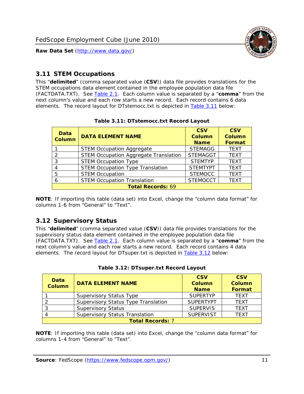

#### <span id="page-11-0"></span>*3.11 STEM Occupations*

<span id="page-11-4"></span>This "**delimited**" (comma separated value (**CSV**)) data file provides translations for the STEM occupations data element contained in the employee population data file (FACTDATA.TXT). See [Table 2.1](#page-4-1). Each column value is separated by a "**comma**" from the next column's value and each row starts a new record. Each record contains 6 data elements. The record layout for DTstemocc.txt is depicted in [Table 3.11](#page-11-4) below:

<span id="page-11-2"></span>

| <b>Data</b><br><b>Column</b> | <b>DATA ELEMENT NAME</b>                     | <b>CSV</b><br>Column<br><b>Name</b> | <b>CSV</b><br><b>Column</b><br><b>Format</b> |  |
|------------------------------|----------------------------------------------|-------------------------------------|----------------------------------------------|--|
|                              | <b>STEM Occupation Aggregate</b>             | <b>STEMAGG</b>                      | <b>TEXT</b>                                  |  |
|                              | <b>STEM Occupation Aggregate Translation</b> | <b>STEMAGGT</b>                     | <b>TEXT</b>                                  |  |
| 3                            | <b>STEM Occupation Type</b>                  | <b>STEMTYP</b>                      | <b>TEXT</b>                                  |  |
|                              | <b>STEM Occupation Type Translation</b>      | <b>STEMTYPT</b>                     | <b>TEXT</b>                                  |  |
| 5                            | <b>STEM Occupation</b>                       | <b>STEMOCC</b>                      | <b>TEXT</b>                                  |  |
|                              | <b>STEM Occupation Translation</b>           | <b>STEMOCCT</b>                     | <b>TEXT</b>                                  |  |
| <b>Total Records: 69</b>     |                                              |                                     |                                              |  |

#### **Table 3.11: DTstemocc.txt Record Layout**

**NOTE**: If importing this table (data set) into Excel, change the "column data format" for columns 1-6 from "General" to "Text".

# <span id="page-11-1"></span>*3.12 Supervisory Status*

This "**delimited**" (comma separated value (**CSV**)) data file provides translations for the supervisory status data element contained in the employee population data file (FACTDATA.TXT). See [Table 2.1](#page-4-1). Each column value is separated by a "**comma**" from the next column's value and each row starts a new record. Each record contains 4 data elements. The record layout for DTsuper.txt is depicted in [Table 3.12](#page-11-5) below:

<span id="page-11-5"></span><span id="page-11-3"></span>

| Data<br><b>Column</b>   | <b>DATA ELEMENT NAME</b>              | <b>CSV</b><br><b>Column</b><br><b>Name</b> | <b>CSV</b><br><b>Column</b><br><b>Format</b> |  |
|-------------------------|---------------------------------------|--------------------------------------------|----------------------------------------------|--|
|                         | <b>Supervisory Status Type</b>        | <b>SUPFRTYP</b>                            | <b>TEXT</b>                                  |  |
|                         | Supervisory Status Type Translation   | <b>SUPERTYPT</b>                           | <b>TEXT</b>                                  |  |
|                         | <b>Supervisory Status</b>             | <b>SUPERVIS</b>                            | <b>TEXT</b>                                  |  |
|                         | <b>Supervisory Status Translation</b> | <b>SUPERVIST</b>                           | <b>TFXT</b>                                  |  |
| <b>Total Records: 7</b> |                                       |                                            |                                              |  |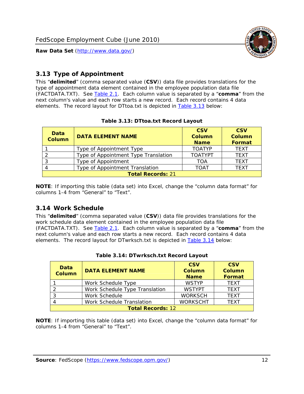

## <span id="page-12-0"></span>*3.13 Type of Appointment*

This "**delimited**" (comma separated value (**CSV**)) data file provides translations for the type of appointment data element contained in the employee population data file (FACTDATA.TXT). See [Table 2.1](#page-4-1). Each column value is separated by a "**comma**" from the next column's value and each row starts a new record. Each record contains 4 data elements. The record layout for DTtoa.txt is depicted in [Table 3.13](#page-12-4) below:

<span id="page-12-4"></span><span id="page-12-2"></span>

| Data<br><b>Column</b>    | <b>DATA ELEMENT NAME</b>             | <b>CSV</b><br><b>Column</b><br><b>Name</b> | <b>CSV</b><br><b>Column</b><br>Format |  |
|--------------------------|--------------------------------------|--------------------------------------------|---------------------------------------|--|
|                          | Type of Appointment Type             | <b>TOATYP</b>                              | <b>TEXT</b>                           |  |
|                          | Type of Appointment Type Translation | <b>TOATYPT</b>                             | <b>TEXT</b>                           |  |
|                          | Type of Appointment                  | TOA                                        | <b>TEXT</b>                           |  |
|                          | Type of Appointment Translation      | TOAT                                       | <b>TFXT</b>                           |  |
| <b>Total Records: 21</b> |                                      |                                            |                                       |  |

#### **Table 3.13: DTtoa.txt Record Layout**

**NOTE**: If importing this table (data set) into Excel, change the "column data format" for columns 1-4 from "General" to "Text".

#### <span id="page-12-1"></span>*3.14 Work Schedule*

<span id="page-12-5"></span>This "**delimited**" (comma separated value (**CSV**)) data file provides translations for the work schedule data element contained in the employee population data file (FACTDATA.TXT). See [Table 2.1](#page-4-1). Each column value is separated by a "**comma**" from the next column's value and each row starts a new record. Each record contains 4 data elements. The record layout for DTwrksch.txt is depicted in [Table 3.14](#page-12-5) below:

<span id="page-12-3"></span>

| Data<br>Column           | <b>DATA ELEMENT NAME</b>       | <b>CSV</b><br><b>Column</b><br><b>Name</b> | <b>CSV</b><br><b>Column</b><br>Format |  |
|--------------------------|--------------------------------|--------------------------------------------|---------------------------------------|--|
|                          | Work Schedule Type             | <b>WSTYP</b>                               | <b>TEXT</b>                           |  |
| 2                        | Work Schedule Type Translation | <b>WSTYPT</b>                              | <b>TFXT</b>                           |  |
| 3                        | Work Schedule                  | <b>WORKSCH</b>                             | <b>TFXT</b>                           |  |
|                          | Work Schedule Translation      | <b>WORKSCHT</b>                            | <b>TFXT</b>                           |  |
| <b>Total Records: 12</b> |                                |                                            |                                       |  |

|  | Table 3.14: DTwrksch.txt Record Layout |  |
|--|----------------------------------------|--|
|  |                                        |  |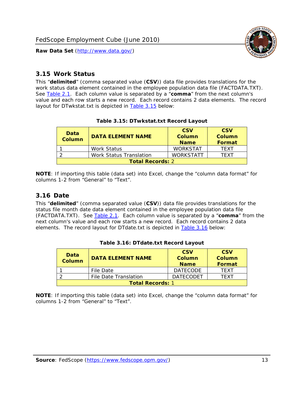

#### <span id="page-13-0"></span>*3.15 Work Status*

<span id="page-13-4"></span><span id="page-13-2"></span>This "**delimited**" (comma separated value (**CSV**)) data file provides translations for the work status data element contained in the employee population data file (FACTDATA.TXT). See [Table 2.1](#page-4-1). Each column value is separated by a "**comma**" from the next column's value and each row starts a new record. Each record contains 2 data elements. The record layout for DTwkstat.txt is depicted in [Table 3.15](#page-13-4) below:

| Data<br><b>Column</b>   | <b>DATA ELEMENT NAME</b> | <b>CSV</b><br>Column<br><b>Name</b> | <b>CSV</b><br>Column<br><b>Format</b> |
|-------------------------|--------------------------|-------------------------------------|---------------------------------------|
|                         | <b>Work Status</b>       | <b>WORKSTAT</b>                     | TFXT                                  |
|                         | Work Status Translation  | <b>WORKSTATT</b>                    | TFXT                                  |
| <b>Total Records: 2</b> |                          |                                     |                                       |

#### **Table 3.15: DTwkstat.txt Record Layout**

**NOTE**: If importing this table (data set) into Excel, change the "column data format" for columns 1-2 from "General" to "Text".

#### <span id="page-13-1"></span>*3.16 Date*

<span id="page-13-5"></span><span id="page-13-3"></span>This "**delimited**" (comma separated value (**CSV**)) data file provides translations for the status file month date data element contained in the employee population data file (FACTDATA.TXT). See [Table 2.1](#page-4-1). Each column value is separated by a "**comma**" from the next column's value and each row starts a new record. Each record contains 2 data elements. The record layout for DTdate.txt is depicted in [Table 3.16](#page-13-5) below:

| Data<br><b>Column</b>   | <b>DATA ELEMENT NAME</b> | <b>CSV</b><br>Column<br><b>Name</b> | <b>CSV</b><br>Column<br><b>Format</b> |
|-------------------------|--------------------------|-------------------------------------|---------------------------------------|
|                         | File Date                | <b>DATECODE</b>                     | TFXT                                  |
|                         | File Date Translation    | <b>DATECODET</b>                    | TFXT                                  |
| <b>Total Records: 1</b> |                          |                                     |                                       |

**Table 3.16: DTdate.txt Record Layout**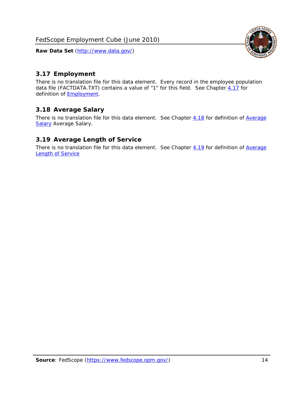<span id="page-14-0"></span>

There is no translation file for this data element. Every record in the employee population data file (FACTDATA.TXT) contains a value of "1" for this field. See Chapter [4.17](#page-16-8) for definition of **Employment**.

### <span id="page-14-1"></span>*3.18 Average Salary*

There is no translation file for this data element. See Chapter [4.18](#page-17-1) for definition of [Average](#page-17-1) **[Salary](#page-17-1) [Average Salary.](#page-17-1)** 

#### <span id="page-14-2"></span>*3.19 Average Length of Service*

There is no translation file for this data element. See Chapter [4.19](#page-17-2) for definition of [Average](#page-17-2) Length of Service

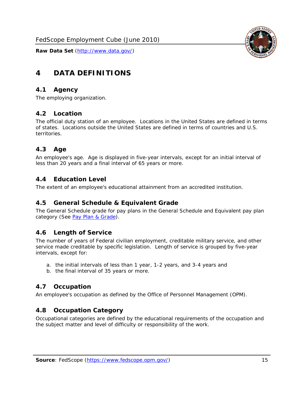

# <span id="page-15-0"></span>**4 DATA DEFINITIONS**

#### <span id="page-15-1"></span>*4.1 Agency*

The employing organization.

# <span id="page-15-2"></span>*4.2 Location*

The official duty station of an employee. Locations in the United States are defined in terms of states. Locations outside the United States are defined in terms of countries and U.S. territories.

### <span id="page-15-3"></span>*4.3 Age*

An employee's age. Age is displayed in five-year intervals, except for an initial interval of less than 20 years and a final interval of 65 years or more.

### <span id="page-15-4"></span>*4.4 Education Level*

The extent of an employee's educational attainment from an accredited institution.

#### <span id="page-15-5"></span>*4.5 General Schedule & Equivalent Grade*

The General Schedule grade for pay plans in the General Schedule and Equivalent pay plan category (See [Pay Plan & Grade](#page-16-0)).

#### <span id="page-15-6"></span>*4.6 Length of Service*

The number of years of Federal civilian employment, creditable military service, and other service made creditable by specific legislation. Length of service is grouped by five-year intervals, except for:

- a. the initial intervals of less than 1 year, 1-2 years, and 3-4 years and
- b. the final interval of 35 years or more.

# <span id="page-15-7"></span>*4.7 Occupation*

An employee's occupation as defined by the Office of Personnel Management (OPM).

# <span id="page-15-8"></span>*4.8 Occupation Category*

Occupational categories are defined by the educational requirements of the occupation and the subject matter and level of difficulty or responsibility of the work.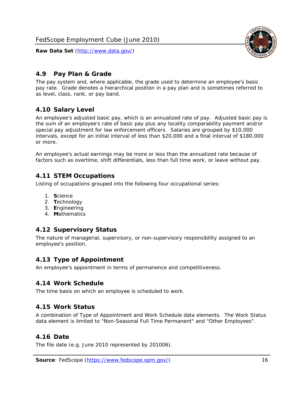

## <span id="page-16-0"></span>*4.9 Pay Plan & Grade*

The pay system and, where applicable, the grade used to determine an employee's basic pay rate. Grade denotes a hierarchical position in a pay plan and is sometimes referred to as level, class, rank, or pay band.

# <span id="page-16-1"></span>*4.10 Salary Level*

An employee's adjusted basic pay, which is an annualized rate of pay. Adjusted basic pay is the sum of an employee's rate of basic pay plus any locality comparability payment and/or special pay adjustment for law enforcement officers. Salaries are grouped by \$10,000 intervals, except for an initial interval of less than \$20,000 and a final interval of \$180,000 or more.

An employee's actual earnings may be more or less than the annualized rate because of factors such as overtime, shift differentials, less than full time work, or leave without pay.

### <span id="page-16-2"></span>*4.11 STEM Occupations*

Listing of occupations grouped into the following four occupational series:

- 1. **S**cience
- 2. **T**echnology
- 3. **E**ngineering
- 4. **M**athematics

#### <span id="page-16-3"></span>*4.12 Supervisory Status*

The nature of managerial, supervisory, or non-supervisory responsibility assigned to an employee's position.

#### <span id="page-16-4"></span>*4.13 Type of Appointment*

An employee's appointment in terms of permanence and competitiveness.

#### <span id="page-16-5"></span>*4.14 Work Schedule*

The time basis on which an employee is scheduled to work.

#### <span id="page-16-6"></span>*4.15 Work Status*

A combination of Type of Appointment and Work Schedule data elements. The Work Status data element is limited to "Non-Seasonal Full Time Permanent" and "Other Employees".

#### <span id="page-16-7"></span>*4.16 Date*

<span id="page-16-8"></span>The file date (e.g. June 2010 represented by 201006).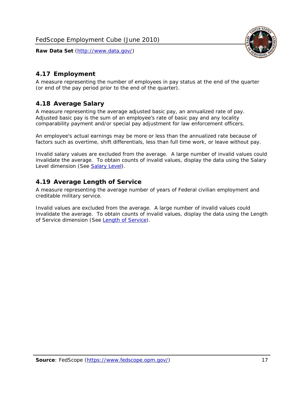

## <span id="page-17-0"></span>*4.17 Employment*

A measure representing the number of employees in pay status at the end of the quarter (or end of the pay period prior to the end of the quarter).

### <span id="page-17-1"></span>*4.18 Average Salary*

A measure representing the average adjusted basic pay, an annualized rate of pay. Adjusted basic pay is the sum of an employee's rate of basic pay and any locality comparability payment and/or special pay adjustment for law enforcement officers.

An employee's actual earnings may be more or less than the annualized rate because of factors such as overtime, shift differentials, less than full time work, or leave without pay.

Invalid salary values are excluded from the average. A large number of invalid values could invalidate the average. To obtain counts of invalid values, display the data using the Salary Level dimension (See [Salary Level\)](#page-16-1).

### <span id="page-17-2"></span>*4.19 Average Length of Service*

A measure representing the average number of years of Federal civilian employment and creditable military service.

Invalid values are excluded from the average. A large number of invalid values could invalidate the average. To obtain counts of invalid values, display the data using the Length of Service dimension (See [Length of Service](#page-15-6)).